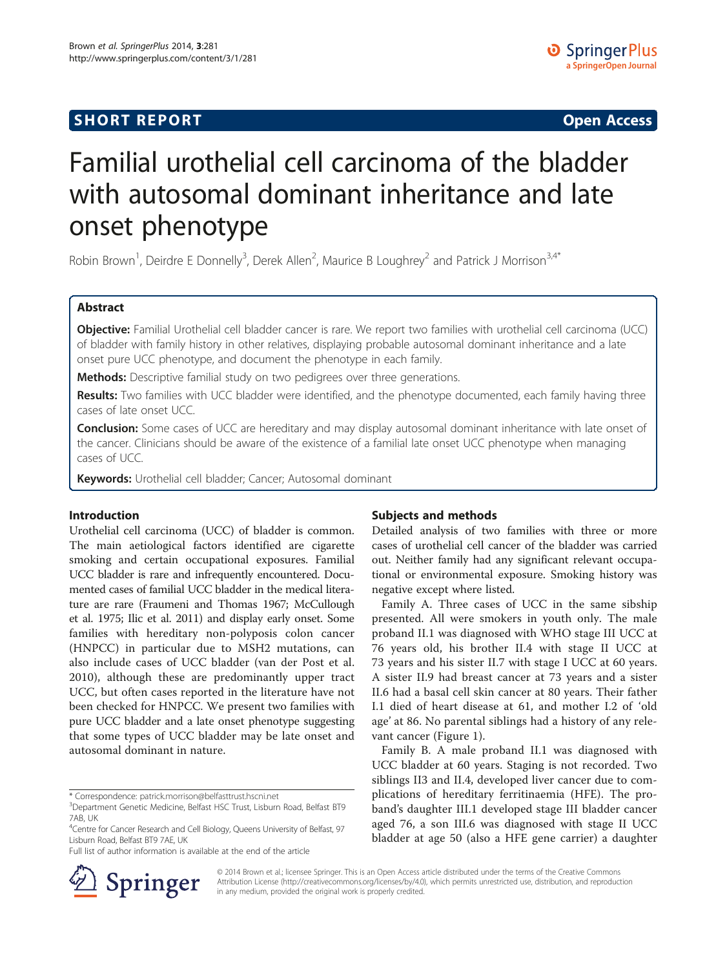# **SHORT REPORT SHORT CONSUMING THE CONSUMING THE CONSUMING THE CONSUMING THE CONSUMING THE CONSUMING THE CONSUMING THE CONSUMING THE CONSUMING THE CONSUMING THE CONSUMING THE CONSUMING THE CONSUMING THE CONSUMING THE CO**

# Familial urothelial cell carcinoma of the bladder with autosomal dominant inheritance and late onset phenotype

Robin Brown<sup>1</sup>, Deirdre E Donnelly<sup>3</sup>, Derek Allen<sup>2</sup>, Maurice B Loughrey<sup>2</sup> and Patrick J Morrison<sup>3,4\*</sup>

## Abstract

Objective: Familial Urothelial cell bladder cancer is rare. We report two families with urothelial cell carcinoma (UCC) of bladder with family history in other relatives, displaying probable autosomal dominant inheritance and a late onset pure UCC phenotype, and document the phenotype in each family.

Methods: Descriptive familial study on two pedigrees over three generations.

Results: Two families with UCC bladder were identified, and the phenotype documented, each family having three cases of late onset UCC.

**Conclusion:** Some cases of UCC are hereditary and may display autosomal dominant inheritance with late onset of the cancer. Clinicians should be aware of the existence of a familial late onset UCC phenotype when managing cases of UCC.

Keywords: Urothelial cell bladder; Cancer; Autosomal dominant

#### Introduction

Urothelial cell carcinoma (UCC) of bladder is common. The main aetiological factors identified are cigarette smoking and certain occupational exposures. Familial UCC bladder is rare and infrequently encountered. Documented cases of familial UCC bladder in the medical literature are rare (Fraumeni and Thomas [1967](#page-2-0); McCullough et al. [1975](#page-2-0); Ilic et al. [2011](#page-2-0)) and display early onset. Some families with hereditary non-polyposis colon cancer (HNPCC) in particular due to MSH2 mutations, can also include cases of UCC bladder (van der Post et al. [2010\)](#page-3-0), although these are predominantly upper tract UCC, but often cases reported in the literature have not been checked for HNPCC. We present two families with pure UCC bladder and a late onset phenotype suggesting that some types of UCC bladder may be late onset and autosomal dominant in nature.

Full list of author information is available at the end of the article



#### Subjects and methods

Detailed analysis of two families with three or more cases of urothelial cell cancer of the bladder was carried out. Neither family had any significant relevant occupational or environmental exposure. Smoking history was negative except where listed.

Family A. Three cases of UCC in the same sibship presented. All were smokers in youth only. The male proband II.1 was diagnosed with WHO stage III UCC at 76 years old, his brother II.4 with stage II UCC at 73 years and his sister II.7 with stage I UCC at 60 years. A sister II.9 had breast cancer at 73 years and a sister II.6 had a basal cell skin cancer at 80 years. Their father I.1 died of heart disease at 61, and mother I.2 of 'old age' at 86. No parental siblings had a history of any relevant cancer (Figure [1](#page-1-0)).

Family B. A male proband II.1 was diagnosed with UCC bladder at 60 years. Staging is not recorded. Two siblings II3 and II.4, developed liver cancer due to complications of hereditary ferritinaemia (HFE). The proband's daughter III.1 developed stage III bladder cancer aged 76, a son III.6 was diagnosed with stage II UCC bladder at age 50 (also a HFE gene carrier) a daughter

© 2014 Brown et al.; licensee Springer. This is an Open Access article distributed under the terms of the Creative Commons Attribution License [\(http://creativecommons.org/licenses/by/4.0\)](http://creativecommons.org/licenses/by/4.0), which permits unrestricted use, distribution, and reproduction in any medium, provided the original work is properly credited.

<sup>\*</sup> Correspondence: [patrick.morrison@belfasttrust.hscni.net](mailto:patrick.morrison@belfasttrust.hscni.net) <sup>3</sup>

<sup>&</sup>lt;sup>3</sup>Department Genetic Medicine, Belfast HSC Trust, Lisburn Road, Belfast BT9 7AB, UK

<sup>&</sup>lt;sup>4</sup>Centre for Cancer Research and Cell Biology, Queens University of Belfast, 97 Lisburn Road, Belfast BT9 7AE, UK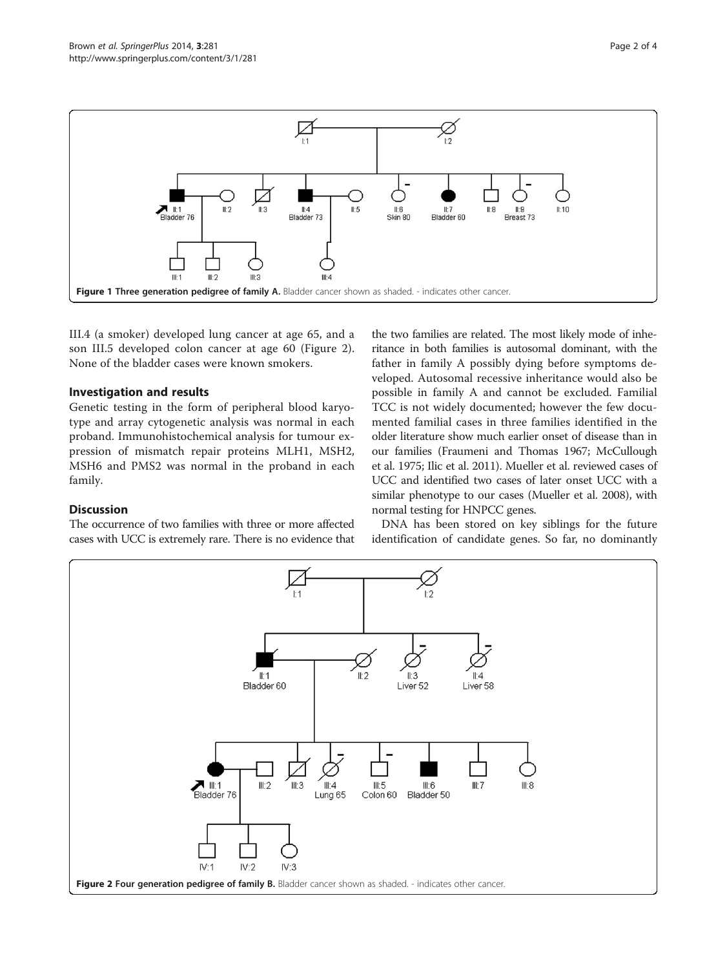

<span id="page-1-0"></span>

III.4 (a smoker) developed lung cancer at age 65, and a son III.5 developed colon cancer at age 60 (Figure 2). None of the bladder cases were known smokers.

#### Investigation and results

Genetic testing in the form of peripheral blood karyotype and array cytogenetic analysis was normal in each proband. Immunohistochemical analysis for tumour expression of mismatch repair proteins MLH1, MSH2, MSH6 and PMS2 was normal in the proband in each family.

### Discussion

The occurrence of two families with three or more affected cases with UCC is extremely rare. There is no evidence that

the two families are related. The most likely mode of inheritance in both families is autosomal dominant, with the father in family A possibly dying before symptoms developed. Autosomal recessive inheritance would also be possible in family A and cannot be excluded. Familial TCC is not widely documented; however the few documented familial cases in three families identified in the older literature show much earlier onset of disease than in our families (Fraumeni and Thomas [1967;](#page-2-0) McCullough et al. [1975;](#page-2-0) Ilic et al. [2011](#page-2-0)). Mueller et al. reviewed cases of UCC and identified two cases of later onset UCC with a similar phenotype to our cases (Mueller et al. [2008\)](#page-2-0), with normal testing for HNPCC genes.

DNA has been stored on key siblings for the future identification of candidate genes. So far, no dominantly

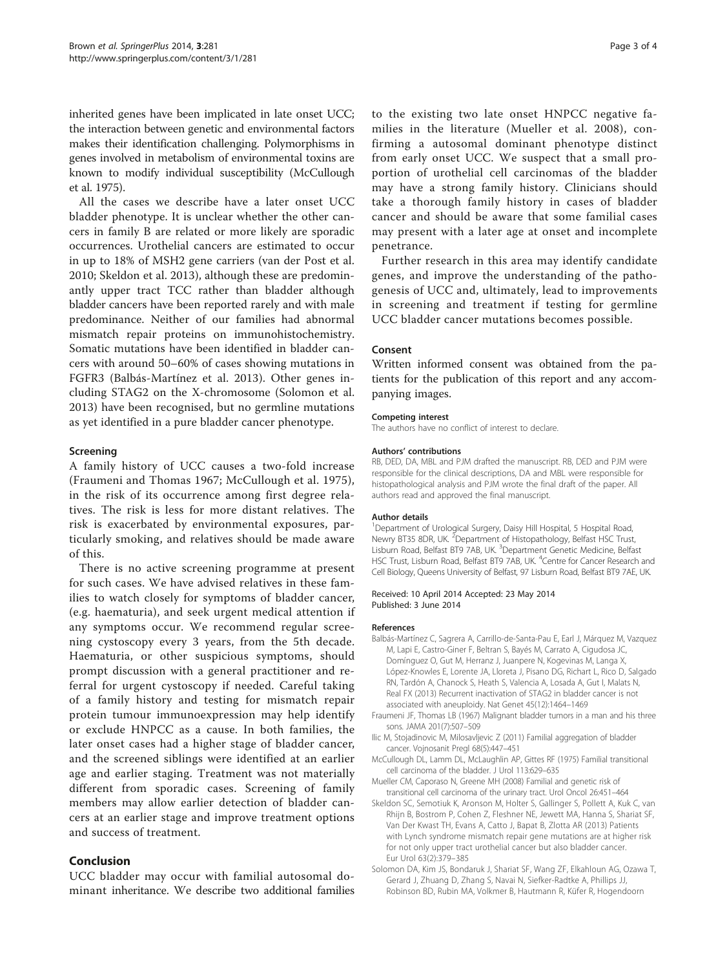<span id="page-2-0"></span>inherited genes have been implicated in late onset UCC; the interaction between genetic and environmental factors makes their identification challenging. Polymorphisms in genes involved in metabolism of environmental toxins are known to modify individual susceptibility (McCullough et al. 1975).

All the cases we describe have a later onset UCC bladder phenotype. It is unclear whether the other cancers in family B are related or more likely are sporadic occurrences. Urothelial cancers are estimated to occur in up to 18% of MSH2 gene carriers (van der Post et al. [2010;](#page-3-0) Skeldon et al. 2013), although these are predominantly upper tract TCC rather than bladder although bladder cancers have been reported rarely and with male predominance. Neither of our families had abnormal mismatch repair proteins on immunohistochemistry. Somatic mutations have been identified in bladder cancers with around 50–60% of cases showing mutations in FGFR3 (Balbás-Martínez et al. 2013). Other genes including STAG2 on the X-chromosome (Solomon et al. 2013) have been recognised, but no germline mutations as yet identified in a pure bladder cancer phenotype.

#### Screening

A family history of UCC causes a two-fold increase (Fraumeni and Thomas 1967; McCullough et al. 1975), in the risk of its occurrence among first degree relatives. The risk is less for more distant relatives. The risk is exacerbated by environmental exposures, particularly smoking, and relatives should be made aware of this.

There is no active screening programme at present for such cases. We have advised relatives in these families to watch closely for symptoms of bladder cancer, (e.g. haematuria), and seek urgent medical attention if any symptoms occur. We recommend regular screening cystoscopy every 3 years, from the 5th decade. Haematuria, or other suspicious symptoms, should prompt discussion with a general practitioner and referral for urgent cystoscopy if needed. Careful taking of a family history and testing for mismatch repair protein tumour immunoexpression may help identify or exclude HNPCC as a cause. In both families, the later onset cases had a higher stage of bladder cancer, and the screened siblings were identified at an earlier age and earlier staging. Treatment was not materially different from sporadic cases. Screening of family members may allow earlier detection of bladder cancers at an earlier stage and improve treatment options and success of treatment.

#### Conclusion

UCC bladder may occur with familial autosomal dominant inheritance. We describe two additional families to the existing two late onset HNPCC negative families in the literature (Mueller et al. 2008), confirming a autosomal dominant phenotype distinct from early onset UCC. We suspect that a small proportion of urothelial cell carcinomas of the bladder may have a strong family history. Clinicians should take a thorough family history in cases of bladder cancer and should be aware that some familial cases may present with a later age at onset and incomplete penetrance.

Further research in this area may identify candidate genes, and improve the understanding of the pathogenesis of UCC and, ultimately, lead to improvements in screening and treatment if testing for germline UCC bladder cancer mutations becomes possible.

#### Consent

Written informed consent was obtained from the patients for the publication of this report and any accompanying images.

#### Competing interest

The authors have no conflict of interest to declare.

#### Authors' contributions

RB, DED, DA, MBL and PJM drafted the manuscript. RB, DED and PJM were responsible for the clinical descriptions, DA and MBL were responsible for histopathological analysis and PJM wrote the final draft of the paper. All authors read and approved the final manuscript.

#### Author details

<sup>1</sup>Department of Urological Surgery, Daisy Hill Hospital, 5 Hospital Road, Newry BT35 8DR, UK. <sup>2</sup>Department of Histopathology, Belfast HSC Trust, Lisburn Road, Belfast BT9 7AB, UK. <sup>3</sup>Department Genetic Medicine, Belfast HSC Trust, Lisburn Road, Belfast BT9 7AB, UK. <sup>4</sup>Centre for Cancer Research and Cell Biology, Queens University of Belfast, 97 Lisburn Road, Belfast BT9 7AE, UK.

Received: 10 April 2014 Accepted: 23 May 2014 Published: 3 June 2014

#### References

- Balbás-Martínez C, Sagrera A, Carrillo-de-Santa-Pau E, Earl J, Márquez M, Vazquez M, Lapi E, Castro-Giner F, Beltran S, Bayés M, Carrato A, Cigudosa JC, Domínguez O, Gut M, Herranz J, Juanpere N, Kogevinas M, Langa X, López-Knowles E, Lorente JA, Lloreta J, Pisano DG, Richart L, Rico D, Salgado RN, Tardón A, Chanock S, Heath S, Valencia A, Losada A, Gut I, Malats N, Real FX (2013) Recurrent inactivation of STAG2 in bladder cancer is not associated with aneuploidy. Nat Genet 45(12):1464–1469
- Fraumeni JF, Thomas LB (1967) Malignant bladder tumors in a man and his three sons. JAMA 201(7):507–509
- Ilic M, Stojadinovic M, Milosavljevic Z (2011) Familial aggregation of bladder cancer. Vojnosanit Pregl 68(5):447–451
- McCullough DL, Lamm DL, McLaughlin AP, Gittes RF (1975) Familial transitional cell carcinoma of the bladder. J Urol 113:629–635
- Mueller CM, Caporaso N, Greene MH (2008) Familial and genetic risk of transitional cell carcinoma of the urinary tract. Urol Oncol 26:451–464
- Skeldon SC, Semotiuk K, Aronson M, Holter S, Gallinger S, Pollett A, Kuk C, van Rhijn B, Bostrom P, Cohen Z, Fleshner NE, Jewett MA, Hanna S, Shariat SF, Van Der Kwast TH, Evans A, Catto J, Bapat B, Zlotta AR (2013) Patients with Lynch syndrome mismatch repair gene mutations are at higher risk for not only upper tract urothelial cancer but also bladder cancer. Eur Urol 63(2):379–385
- Solomon DA, Kim JS, Bondaruk J, Shariat SF, Wang ZF, Elkahloun AG, Ozawa T, Gerard J, Zhuang D, Zhang S, Navai N, Siefker-Radtke A, Phillips JJ, Robinson BD, Rubin MA, Volkmer B, Hautmann R, Küfer R, Hogendoorn